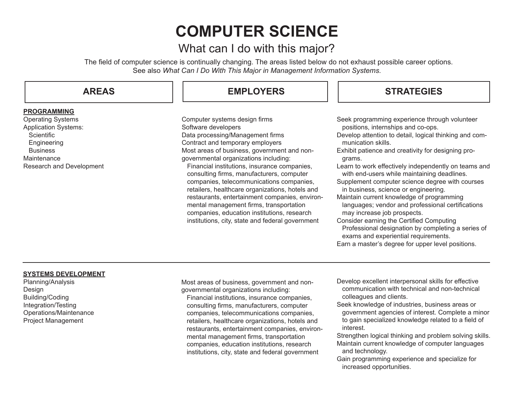# **COMPUTER SCIENCE**

# What can I do with this major?

The field of computer science is continually changing. The areas listed below do not exhaust possible career options. See also *What Can I Do With This Major in Management Information Systems.*

| <b>AREAS</b>                | <b>EMPLOYERS</b>                                                                                                                         | <b>STRATEGIES</b>                                                                                                             |
|-----------------------------|------------------------------------------------------------------------------------------------------------------------------------------|-------------------------------------------------------------------------------------------------------------------------------|
| <b>PROGRAMMING</b>          |                                                                                                                                          |                                                                                                                               |
| <b>Operating Systems</b>    | Computer systems design firms                                                                                                            | Seek programming experience through volunteer                                                                                 |
| <b>Application Systems:</b> | Software developers                                                                                                                      | positions, internships and co-ops.                                                                                            |
| <b>Scientific</b>           | Data processing/Management firms                                                                                                         | Develop attention to detail, logical thinking and com-                                                                        |
| Engineering                 | Contract and temporary employers                                                                                                         | munication skills.                                                                                                            |
| <b>Business</b>             | Most areas of business, government and non-                                                                                              | Exhibit patience and creativity for designing pro-                                                                            |
| Maintenance                 | governmental organizations including:                                                                                                    | grams.                                                                                                                        |
| Research and Development    | Financial institutions, insurance companies,<br>consulting firms, manufacturers, computer                                                | Learn to work effectively independently on teams and<br>with end-users while maintaining deadlines.                           |
|                             | companies, telecommunications companies,<br>retailers, healthcare organizations, hotels and                                              | Supplement computer science degree with courses<br>in business, science or engineering.                                       |
|                             | restaurants, entertainment companies, environ-<br>mental management firms, transportation<br>companies, education institutions, research | Maintain current knowledge of programming<br>languages; vendor and professional certifications<br>may increase job prospects. |
|                             | institutions, city, state and federal government                                                                                         | Consider earning the Certified Computing<br>Professional designation by completing a series of                                |

exams and experiential requirements.

Earn a master's degree for upper level positions.

#### **SYSTEMS DEVELOPMENT**

Planning/Analysis Design Building/Coding Integration/Testing Operations/Maintenance Project Management

Most areas of business, government and nongovernmental organizations including:

 Financial institutions, insurance companies, consulting firms, manufacturers, computer companies, telecommunications companies, retailers, healthcare organizations, hotels and restaurants, entertainment companies, environ mental management firms, transportation companies, education institutions, research institutions, city, state and federal government

- Develop excellent interpersonal skills for effective communication with technical and non-technical colleagues and clients.
- Seek knowledge of industries, business areas or government agencies of interest. Complete a minor to gain specialized knowledge related to a field of interest.
- Strengthen logical thinking and problem solving skills. Maintain current knowledge of computer languages and technology.
- Gain programming experience and specialize for increased opportunities.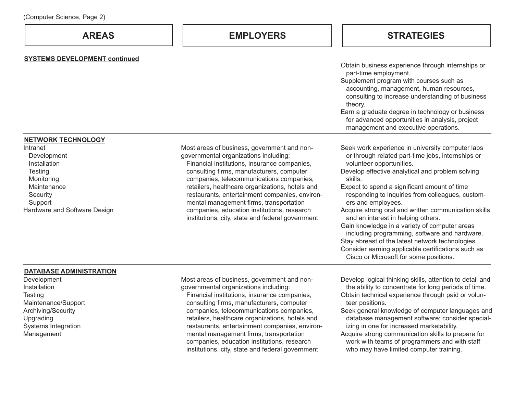## **AREAS EMPLOYERS STRATEGIES**

| <b>SYSTEMS DEVELOPMENT continued</b>                                                                                                   |                                                                                                                                                                                                                                                                                                                                                                                                                                                                                  |                                                                                                                                                                                                                                                                                                                                                                                                                                                                                                                                                                                                                                                                                |
|----------------------------------------------------------------------------------------------------------------------------------------|----------------------------------------------------------------------------------------------------------------------------------------------------------------------------------------------------------------------------------------------------------------------------------------------------------------------------------------------------------------------------------------------------------------------------------------------------------------------------------|--------------------------------------------------------------------------------------------------------------------------------------------------------------------------------------------------------------------------------------------------------------------------------------------------------------------------------------------------------------------------------------------------------------------------------------------------------------------------------------------------------------------------------------------------------------------------------------------------------------------------------------------------------------------------------|
|                                                                                                                                        |                                                                                                                                                                                                                                                                                                                                                                                                                                                                                  | Obtain business experience through internships or<br>part-time employment.<br>Supplement program with courses such as<br>accounting, management, human resources,<br>consulting to increase understanding of business<br>theory.<br>Earn a graduate degree in technology or business<br>for advanced opportunities in analysis, project<br>management and executive operations.                                                                                                                                                                                                                                                                                                |
| <b>NETWORK TECHNOLOGY</b>                                                                                                              |                                                                                                                                                                                                                                                                                                                                                                                                                                                                                  |                                                                                                                                                                                                                                                                                                                                                                                                                                                                                                                                                                                                                                                                                |
| Intranet<br>Development<br>Installation<br>Testing<br>Monitoring<br>Maintenance<br>Security<br>Support<br>Hardware and Software Design | Most areas of business, government and non-<br>governmental organizations including:<br>Financial institutions, insurance companies,<br>consulting firms, manufacturers, computer<br>companies, telecommunications companies,<br>retailers, healthcare organizations, hotels and<br>restaurants, entertainment companies, environ-<br>mental management firms, transportation<br>companies, education institutions, research<br>institutions, city, state and federal government | Seek work experience in university computer labs<br>or through related part-time jobs, internships or<br>volunteer opportunities.<br>Develop effective analytical and problem solving<br>skills.<br>Expect to spend a significant amount of time<br>responding to inquiries from colleagues, custom-<br>ers and employees.<br>Acquire strong oral and written communication skills<br>and an interest in helping others.<br>Gain knowledge in a variety of computer areas<br>including programming, software and hardware.<br>Stay abreast of the latest network technologies.<br>Consider earning applicable certifications such as<br>Cisco or Microsoft for some positions. |
| <b>DATABASE ADMINISTRATION</b>                                                                                                         |                                                                                                                                                                                                                                                                                                                                                                                                                                                                                  |                                                                                                                                                                                                                                                                                                                                                                                                                                                                                                                                                                                                                                                                                |
| Development<br>Installation<br>Testing<br>Maintenance/Support<br>Archiving/Security<br>Upgrading<br>Systems Integration<br>Management  | Most areas of business, government and non-<br>governmental organizations including:<br>Financial institutions, insurance companies,<br>consulting firms, manufacturers, computer<br>companies, telecommunications companies,<br>retailers, healthcare organizations, hotels and<br>restaurants, entertainment companies, environ-<br>mental management firms, transportation<br>companies, education institutions, research                                                     | Develop logical thinking skills, attention to detail and<br>the ability to concentrate for long periods of time.<br>Obtain technical experience through paid or volun-<br>teer positions.<br>Seek general knowledge of computer languages and<br>database management software; consider special-<br>izing in one for increased marketability.<br>Acquire strong communication skills to prepare for<br>work with teams of programmers and with staff                                                                                                                                                                                                                           |

institutions, city, state and federal government

who may have limited computer training.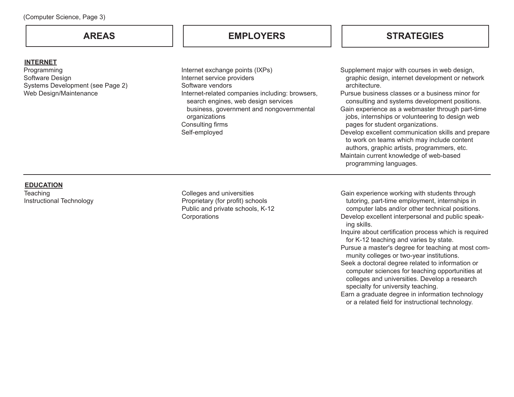#### **INTERNET**

Programming Software Design Systems Development (see Page 2) Web Design/Maintenance

### **AREAS EMPLOYERS**

Internet exchange points (IXPs) Internet service providers Software vendors Internet-related companies including: browsers, search engines, web design services business, government and nongovernmental organizations Consulting firms Self-employed

#### **STRATEGIES**

Supplement major with courses in web design, graphic design, internet development or network architecture.

Pursue business classes or a business minor for consulting and systems development positions. Gain experience as a webmaster through part-time jobs, internships or volunteering to design web

pages for student organizations.

Develop excellent communication skills and prepare to work on teams which may include content authors, graphic artists, programmers, etc. Maintain current knowledge of web-based programming languages.

#### **EDUCATION Teaching** Instructional Technology

Colleges and universities Proprietary (for profit) schools Public and private schools, K-12 **Corporations** 

Gain experience working with students through tutoring, part-time employment, internships in computer labs and/or other technical positions. Develop excellent interpersonal and public speak ing skills.

Inquire about certification process which is required for K-12 teaching and varies by state.

Pursue a master's degree for teaching at most com munity colleges or two-year institutions.

Seek a doctoral degree related to information or computer sciences for teaching opportunities at colleges and universities. Develop a research specialty for university teaching.

Earn a graduate degree in information technology or a related field for instructional technology.